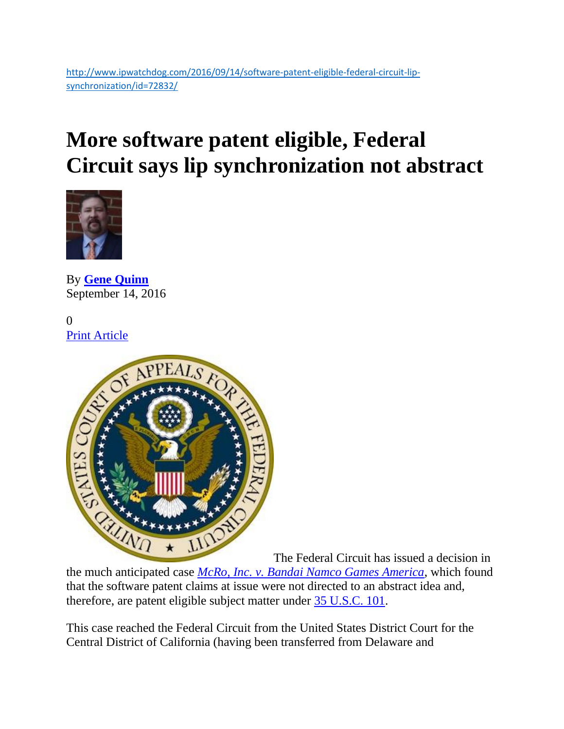# **More software patent eligible, Federal Circuit says lip synchronization not abstract**



By **[Gene Quinn](http://www.ipwatchdog.com/author/gene-quinn-2/)** September 14, 2016

0 [Print Article](javascript:window.print();)



The Federal Circuit has issued a decision in

the much anticipated case *[McRo, Inc. v. Bandai Namco Games America](http://www.ipwatchdog.com/wp-content/uploads/2016/09/s15-1080.Opinion.9-9-2016.2.pdf)*, which found that the software patent claims at issue were not directed to an abstract idea and, therefore, are patent eligible subject matter under [35 U.S.C. 101.](https://www.law.cornell.edu/uscode/text/35/101)

This case reached the Federal Circuit from the United States District Court for the Central District of California (having been transferred from Delaware and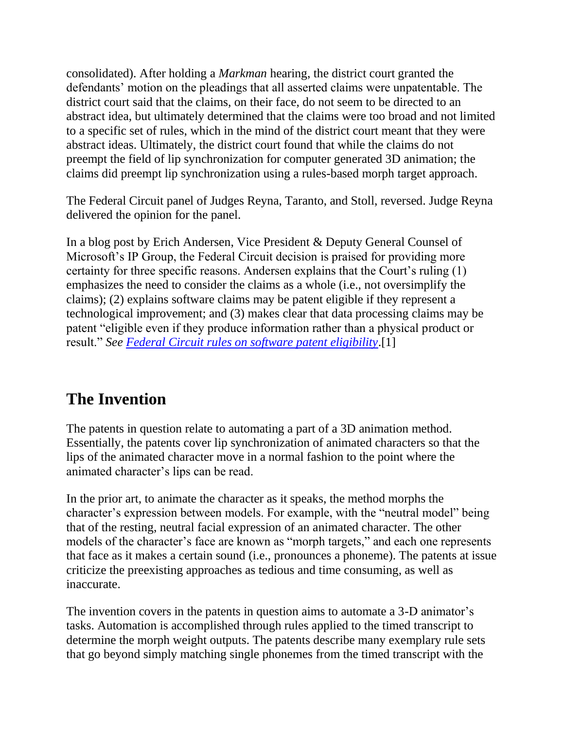consolidated). After holding a *Markman* hearing, the district court granted the defendants' motion on the pleadings that all asserted claims were unpatentable. The district court said that the claims, on their face, do not seem to be directed to an abstract idea, but ultimately determined that the claims were too broad and not limited to a specific set of rules, which in the mind of the district court meant that they were abstract ideas. Ultimately, the district court found that while the claims do not preempt the field of lip synchronization for computer generated 3D animation; the claims did preempt lip synchronization using a rules-based morph target approach.

The Federal Circuit panel of Judges Reyna, Taranto, and Stoll, reversed. Judge Reyna delivered the opinion for the panel.

In a blog post by Erich Andersen, Vice President & Deputy General Counsel of Microsoft's IP Group, the Federal Circuit decision is praised for providing more certainty for three specific reasons. Andersen explains that the Court's ruling (1) emphasizes the need to consider the claims as a whole (i.e., not oversimplify the claims); (2) explains software claims may be patent eligible if they represent a technological improvement; and (3) makes clear that data processing claims may be patent "eligible even if they produce information rather than a physical product or result." *See [Federal Circuit rules on software patent eligibility](http://blogs.microsoft.com/on-the-issues/2016/09/13/federal-circuit-rules-software-patent-eligibility/#sm.0011fo50h1973ezntjf2cg7abxkdp)*.[1]

### **The Invention**

The patents in question relate to automating a part of a 3D animation method. Essentially, the patents cover lip synchronization of animated characters so that the lips of the animated character move in a normal fashion to the point where the animated character's lips can be read.

In the prior art, to animate the character as it speaks, the method morphs the character's expression between models. For example, with the "neutral model" being that of the resting, neutral facial expression of an animated character. The other models of the character's face are known as "morph targets," and each one represents that face as it makes a certain sound (i.e., pronounces a phoneme). The patents at issue criticize the preexisting approaches as tedious and time consuming, as well as inaccurate.

The invention covers in the patents in question aims to automate a 3-D animator's tasks. Automation is accomplished through rules applied to the timed transcript to determine the morph weight outputs. The patents describe many exemplary rule sets that go beyond simply matching single phonemes from the timed transcript with the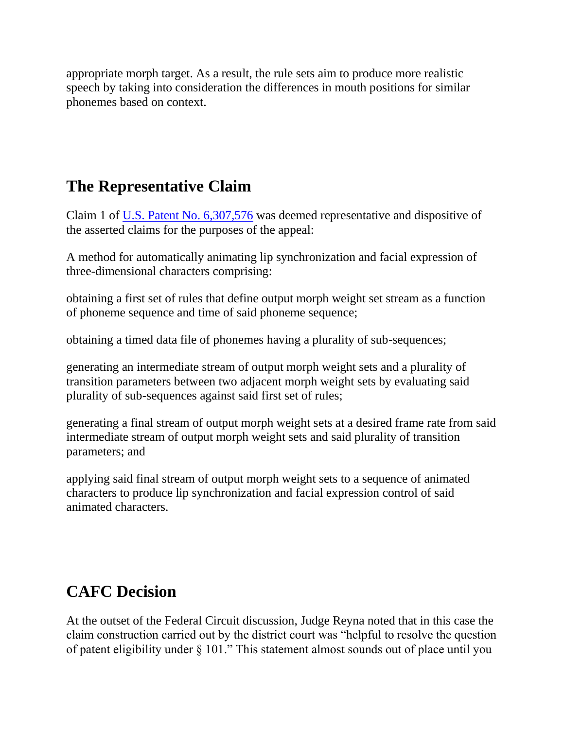appropriate morph target. As a result, the rule sets aim to produce more realistic speech by taking into consideration the differences in mouth positions for similar phonemes based on context.

#### **The Representative Claim**

Claim 1 of [U.S. Patent No. 6,307,576](https://www.google.com/patents/US6307576) was deemed representative and dispositive of the asserted claims for the purposes of the appeal:

A method for automatically animating lip synchronization and facial expression of three-dimensional characters comprising:

obtaining a first set of rules that define output morph weight set stream as a function of phoneme sequence and time of said phoneme sequence;

obtaining a timed data file of phonemes having a plurality of sub-sequences;

generating an intermediate stream of output morph weight sets and a plurality of transition parameters between two adjacent morph weight sets by evaluating said plurality of sub-sequences against said first set of rules;

generating a final stream of output morph weight sets at a desired frame rate from said intermediate stream of output morph weight sets and said plurality of transition parameters; and

applying said final stream of output morph weight sets to a sequence of animated characters to produce lip synchronization and facial expression control of said animated characters.

# **CAFC Decision**

At the outset of the Federal Circuit discussion, Judge Reyna noted that in this case the claim construction carried out by the district court was "helpful to resolve the question of patent eligibility under § 101." This statement almost sounds out of place until you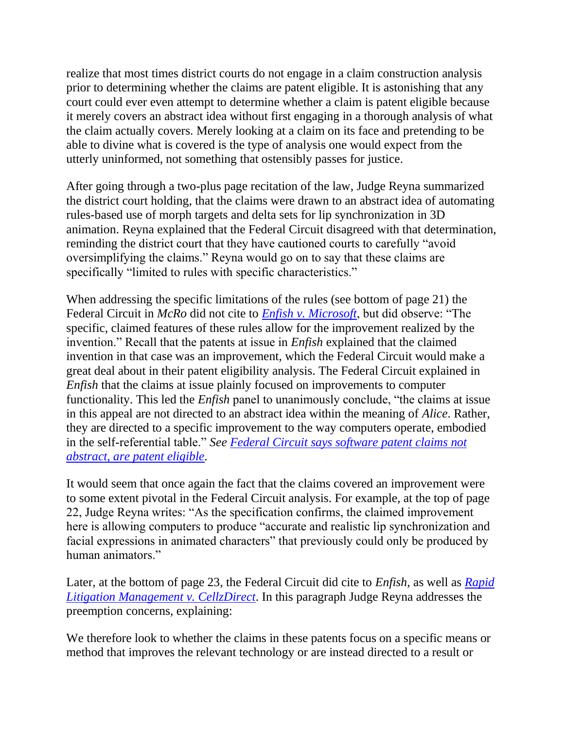realize that most times district courts do not engage in a claim construction analysis prior to determining whether the claims are patent eligible. It is astonishing that any court could ever even attempt to determine whether a claim is patent eligible because it merely covers an abstract idea without first engaging in a thorough analysis of what the claim actually covers. Merely looking at a claim on its face and pretending to be able to divine what is covered is the type of analysis one would expect from the utterly uninformed, not something that ostensibly passes for justice.

After going through a two-plus page recitation of the law, Judge Reyna summarized the district court holding, that the claims were drawn to an abstract idea of automating rules-based use of morph targets and delta sets for lip synchronization in 3D animation. Reyna explained that the Federal Circuit disagreed with that determination, reminding the district court that they have cautioned courts to carefully "avoid oversimplifying the claims." Reyna would go on to say that these claims are specifically "limited to rules with specific characteristics."

When addressing the specific limitations of the rules (see bottom of page 21) the Federal Circuit in *McRo* did not cite to *[Enfish v. Microsoft](http://www.ipwatchdog.com/wp-content/uploads/2016/06/Enfish-v-Microsoft-CAFC-2016.pdf)*, but did observe: "The specific, claimed features of these rules allow for the improvement realized by the invention." Recall that the patents at issue in *Enfish* explained that the claimed invention in that case was an improvement, which the Federal Circuit would make a great deal about in their patent eligibility analysis. The Federal Circuit explained in *Enfish* that the claims at issue plainly focused on improvements to computer functionality. This led the *Enfish* panel to unanimously conclude, "the claims at issue in this appeal are not directed to an abstract idea within the meaning of *Alice*. Rather, they are directed to a specific improvement to the way computers operate, embodied in the self-referential table." *See [Federal Circuit says software patent claims not](http://www.ipwatchdog.com/2016/05/13/federal-circuit-says-software-patent-claims-not-abstract-are-patent-eligible/id=69147/)  [abstract, are patent eligible.](http://www.ipwatchdog.com/2016/05/13/federal-circuit-says-software-patent-claims-not-abstract-are-patent-eligible/id=69147/)* 

It would seem that once again the fact that the claims covered an improvement were to some extent pivotal in the Federal Circuit analysis. For example, at the top of page 22, Judge Reyna writes: "As the specification confirms, the claimed improvement here is allowing computers to produce "accurate and realistic lip synchronization and facial expressions in animated characters" that previously could only be produced by human animators."

Later, at the bottom of page 23, the Federal Circuit did cite to *Enfish*, as well as *[Rapid](http://www.ipwatchdog.com/wp-content/uploads/2016/07/Rapid-Litigation-Management-v-Cellzdirect.pdf)  [Litigation Management v. CellzDirect](http://www.ipwatchdog.com/wp-content/uploads/2016/07/Rapid-Litigation-Management-v-Cellzdirect.pdf)*. In this paragraph Judge Reyna addresses the preemption concerns, explaining:

We therefore look to whether the claims in these patents focus on a specific means or method that improves the relevant technology or are instead directed to a result or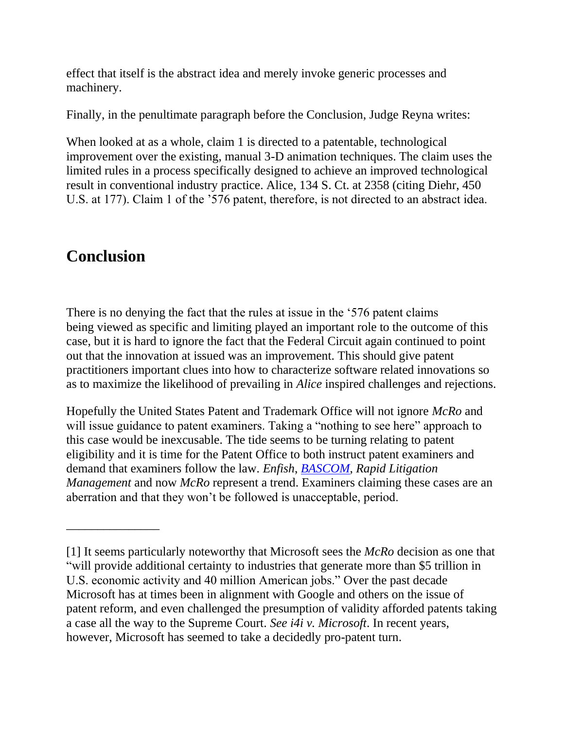effect that itself is the abstract idea and merely invoke generic processes and machinery.

Finally, in the penultimate paragraph before the Conclusion, Judge Reyna writes:

When looked at as a whole, claim 1 is directed to a patentable, technological improvement over the existing, manual 3-D animation techniques. The claim uses the limited rules in a process specifically designed to achieve an improved technological result in conventional industry practice. Alice, 134 S. Ct. at 2358 (citing Diehr, 450 U.S. at 177). Claim 1 of the '576 patent, therefore, is not directed to an abstract idea.

## **Conclusion**

\_\_\_\_\_\_\_\_\_\_\_\_\_\_\_

There is no denying the fact that the rules at issue in the '576 patent claims being viewed as specific and limiting played an important role to the outcome of this case, but it is hard to ignore the fact that the Federal Circuit again continued to point out that the innovation at issued was an improvement. This should give patent practitioners important clues into how to characterize software related innovations so as to maximize the likelihood of prevailing in *Alice* inspired challenges and rejections.

Hopefully the United States Patent and Trademark Office will not ignore *McRo* and will issue guidance to patent examiners. Taking a "nothing to see here" approach to this case would be inexcusable. The tide seems to be turning relating to patent eligibility and it is time for the Patent Office to both instruct patent examiners and demand that examiners follow the law. *Enfish*, *[BASCOM](http://www.ipwatchdog.com/wp-content/uploads/2016/06/bascom-global-internet-v-ATT.pdf)*, *Rapid Litigation Management* and now *McRo* represent a trend. Examiners claiming these cases are an aberration and that they won't be followed is unacceptable, period.

<sup>[1]</sup> It seems particularly noteworthy that Microsoft sees the *McRo* decision as one that "will provide additional certainty to industries that generate more than \$5 trillion in U.S. economic activity and 40 million American jobs." Over the past decade Microsoft has at times been in alignment with Google and others on the issue of patent reform, and even challenged the presumption of validity afforded patents taking a case all the way to the Supreme Court. *See i4i v. Microsoft*. In recent years, however, Microsoft has seemed to take a decidedly pro-patent turn.